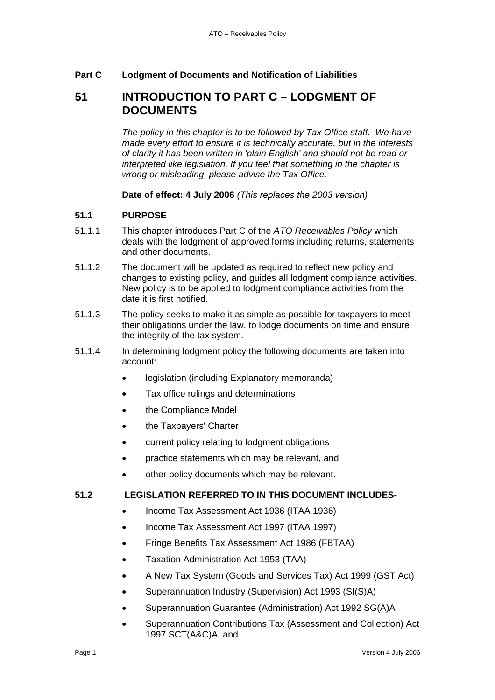## **Part C Lodgment of Documents and Notification of Liabilities**

## **51 INTRODUCTION TO PART C – LODGMENT OF DOCUMENTS**

*The policy in this chapter is to be followed by Tax Office staff. We have made every effort to ensure it is technically accurate, but in the interests of clarity it has been written in 'plain English' and should not be read or interpreted like legislation. If you feel that something in the chapter is wrong or misleading, please advise the Tax Office.*

**Date of effect: 4 July 2006** *(This replaces the 2003 version)* 

## **51.1 PURPOSE**

- 51.1.1 This chapter introduces Part C of the *ATO Receivables Policy* which deals with the lodgment of approved forms including returns, statements and other documents.
- 51.1.2 The document will be updated as required to reflect new policy and changes to existing policy, and guides all lodgment compliance activities. New policy is to be applied to lodgment compliance activities from the date it is first notified.
- 51.1.3 The policy seeks to make it as simple as possible for taxpayers to meet their obligations under the law, to lodge documents on time and ensure the integrity of the tax system.
- 51.1.4 In determining lodgment policy the following documents are taken into account:
	- legislation (including Explanatory memoranda)
	- Tax office rulings and determinations
	- the Compliance Model
	- the Taxpayers' Charter
	- current policy relating to lodgment obligations
	- practice statements which may be relevant, and
	- other policy documents which may be relevant.

## **51.2 LEGISLATION REFERRED TO IN THIS DOCUMENT INCLUDES-**

- Income Tax Assessment Act 1936 (ITAA 1936)
- Income Tax Assessment Act 1997 (ITAA 1997)
- Fringe Benefits Tax Assessment Act 1986 (FBTAA)
- Taxation Administration Act 1953 (TAA)
- A New Tax System (Goods and Services Tax) Act 1999 (GST Act)
- Superannuation Industry (Supervision) Act 1993 (SI(S)A)
- Superannuation Guarantee (Administration) Act 1992 SG(A)A
- Superannuation Contributions Tax (Assessment and Collection) Act 1997 SCT(A&C)A, and